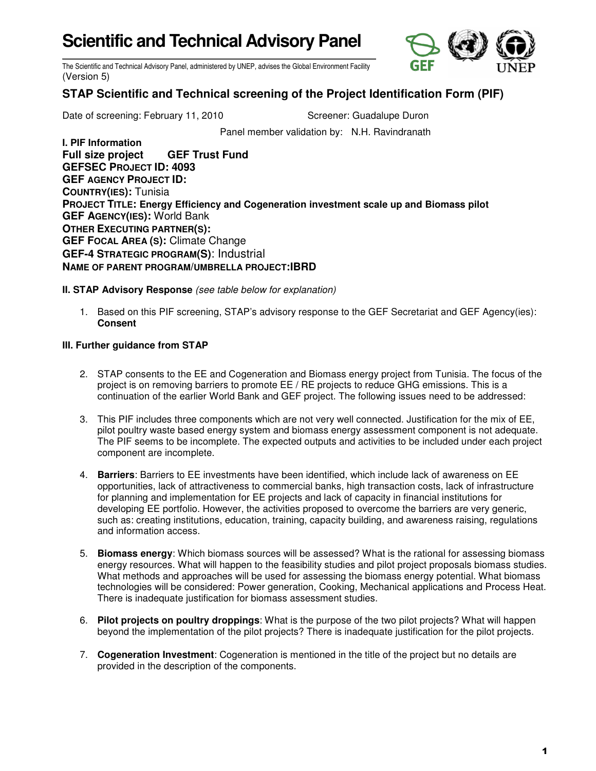## **Scientific and Technical Advisory Panel**



The Scientific and Technical Advisory Panel, administered by UNEP, advises the Global Environment Facility (Version 5)

## **STAP Scientific and Technical screening of the Project Identification Form (PIF)**

Date of screening: February 11, 2010 Screener: Guadalupe Duron

Panel member validation by: N.H. Ravindranath

**I. PIF Information Full size project GEF Trust Fund GEFSEC PROJECT ID: 4093 GEF AGENCY PROJECT ID: COUNTRY(IES):** Tunisia **PROJECT TITLE: Energy Efficiency and Cogeneration investment scale up and Biomass pilot GEF AGENCY(IES):** World Bank **OTHER EXECUTING PARTNER(S): GEF FOCAL AREA (S):** Climate Change **GEF-4 STRATEGIC PROGRAM(S)**: Industrial **NAME OF PARENT PROGRAM/UMBRELLA PROJECT:IBRD** 

**II. STAP Advisory Response** (see table below for explanation)

1. Based on this PIF screening, STAP's advisory response to the GEF Secretariat and GEF Agency(ies): **Consent** 

## **III. Further guidance from STAP**

- 2. STAP consents to the EE and Cogeneration and Biomass energy project from Tunisia. The focus of the project is on removing barriers to promote EE / RE projects to reduce GHG emissions. This is a continuation of the earlier World Bank and GEF project. The following issues need to be addressed:
- 3. This PIF includes three components which are not very well connected. Justification for the mix of EE, pilot poultry waste based energy system and biomass energy assessment component is not adequate. The PIF seems to be incomplete. The expected outputs and activities to be included under each project component are incomplete.
- 4. **Barriers**: Barriers to EE investments have been identified, which include lack of awareness on EE opportunities, lack of attractiveness to commercial banks, high transaction costs, lack of infrastructure for planning and implementation for EE projects and lack of capacity in financial institutions for developing EE portfolio. However, the activities proposed to overcome the barriers are very generic, such as: creating institutions, education, training, capacity building, and awareness raising, regulations and information access.
- 5. **Biomass energy**: Which biomass sources will be assessed? What is the rational for assessing biomass energy resources. What will happen to the feasibility studies and pilot project proposals biomass studies. What methods and approaches will be used for assessing the biomass energy potential. What biomass technologies will be considered: Power generation, Cooking, Mechanical applications and Process Heat. There is inadequate justification for biomass assessment studies.
- 6. **Pilot projects on poultry droppings**: What is the purpose of the two pilot projects? What will happen beyond the implementation of the pilot projects? There is inadequate justification for the pilot projects.
- 7. **Cogeneration Investment**: Cogeneration is mentioned in the title of the project but no details are provided in the description of the components.